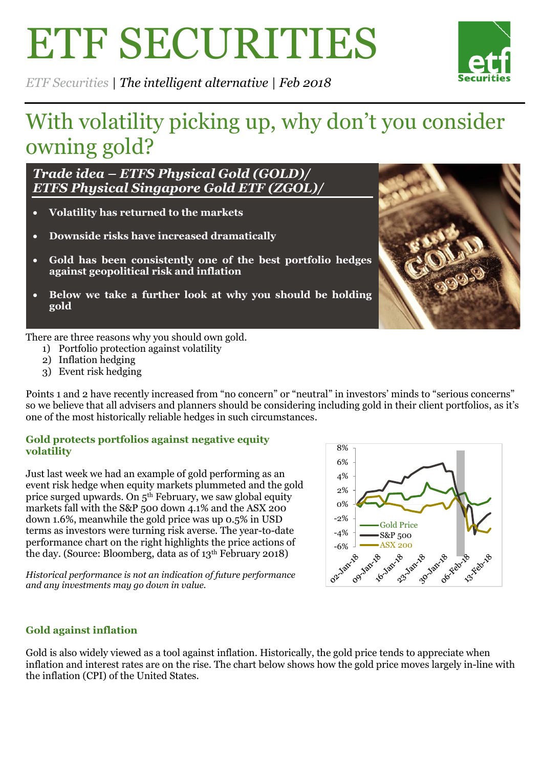# ETF SECURITIES



*ETF Securities | The intelligent alternative | Feb 2018*

# With volatility picking up, why don't you consider owning gold?

*Trade idea – ETFS Physical Gold (GOLD)/ ETFS Physical Singapore Gold ETF (ZGOL)/*

- **Volatility has returned to the markets**
- **Downside risks have increased dramatically**
- **Gold has been consistently one of the best portfolio hedges against geopolitical risk and inflation**
- **Below we take a further look at why you should be holding gold**



There are three reasons why you should own gold.

- 1) Portfolio protection against volatility
- 2) Inflation hedging
- 3) Event risk hedging

Points 1 and 2 have recently increased from "no concern" or "neutral" in investors' minds to "serious concerns" so we believe that all advisers and planners should be considering including gold in their client portfolios, as it's one of the most historically reliable hedges in such circumstances.

### **Gold protects portfolios against negative equity volatility**

Just last week we had an example of gold performing as an event risk hedge when equity markets plummeted and the gold price surged upwards. On 5th February, we saw global equity markets fall with the S&P 500 down 4.1% and the ASX 200 down 1.6%, meanwhile the gold price was up 0.5% in USD terms as investors were turning risk averse. The year-to-date performance chart on the right highlights the price actions of the day. (Source: Bloomberg, data as of 13th February 2018)

*Historical performance is not an indication of future performance and any investments may go down in value.* 



# **Gold against inflation**

Gold is also widely viewed as a tool against inflation. Historically, the gold price tends to appreciate when inflation and interest rates are on the rise. The chart below shows how the gold price moves largely in-line with the inflation (CPI) of the United States.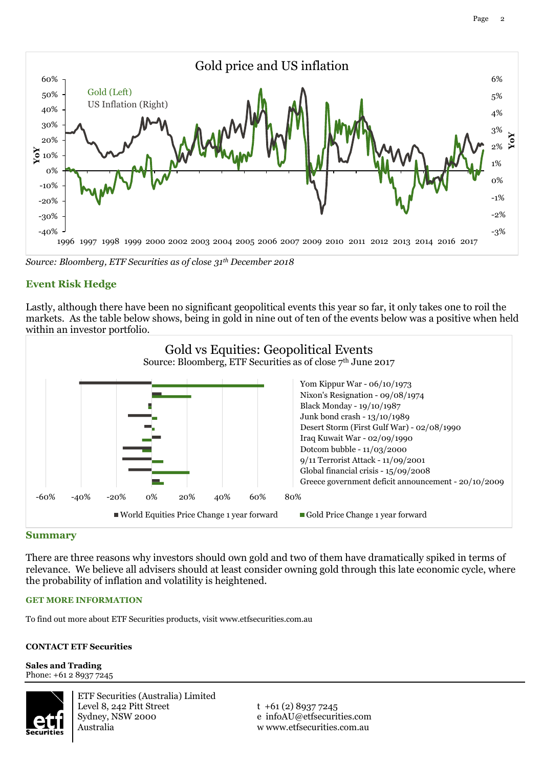

*Source: Bloomberg, ETF Securities as of close 31th December 2018*

## **Event Risk Hedge**

Lastly, although there have been no significant geopolitical events this year so far, it only takes one to roil the markets. As the table below shows, being in gold in nine out of ten of the events below was a positive when held within an investor portfolio.



#### **Summary**

There are three reasons why investors should own gold and two of them have dramatically spiked in terms of relevance. We believe all advisers should at least consider owning gold through this late economic cycle, where the probability of inflation and volatility is heightened.

#### **GET MORE INFORMATION**

To find out more about ETF Securities products, visit www.etfsecurities.com.au

#### **CONTACT ETF Securities**

**Sales and Trading** Phone: +61 2 8937 7245



ETF Securities (Australia) Limited Level 8, 242 Pitt Street Sydney, NSW 2000 Australia

 $t + 61 (2) 8937 7245$ e infoAU@etfsecurities.com w www.etfsecurities.com.au